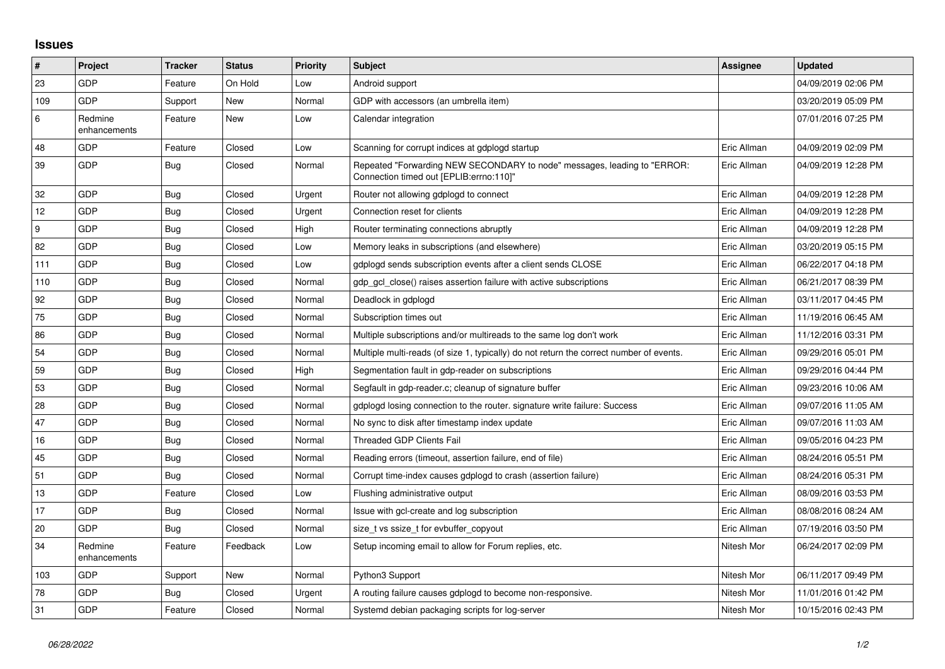## **Issues**

| $\vert$ # | Project                 | <b>Tracker</b> | <b>Status</b> | <b>Priority</b> | <b>Subject</b>                                                                                                      | Assignee    | <b>Updated</b>      |
|-----------|-------------------------|----------------|---------------|-----------------|---------------------------------------------------------------------------------------------------------------------|-------------|---------------------|
| 23        | GDP                     | Feature        | On Hold       | Low             | Android support                                                                                                     |             | 04/09/2019 02:06 PM |
| 109       | <b>GDP</b>              | Support        | <b>New</b>    | Normal          | GDP with accessors (an umbrella item)                                                                               |             | 03/20/2019 05:09 PM |
| 6         | Redmine<br>enhancements | Feature        | New           | Low             | Calendar integration                                                                                                |             | 07/01/2016 07:25 PM |
| 48        | <b>GDP</b>              | Feature        | Closed        | Low             | Scanning for corrupt indices at gdplogd startup                                                                     | Eric Allman | 04/09/2019 02:09 PM |
| 39        | GDP                     | <b>Bug</b>     | Closed        | Normal          | Repeated "Forwarding NEW SECONDARY to node" messages, leading to "ERROR:<br>Connection timed out [EPLIB:errno:110]" | Eric Allman | 04/09/2019 12:28 PM |
| 32        | <b>GDP</b>              | Bug            | Closed        | Urgent          | Router not allowing gdplogd to connect                                                                              | Eric Allman | 04/09/2019 12:28 PM |
| 12        | GDP                     | Bug            | Closed        | Urgent          | Connection reset for clients                                                                                        | Eric Allman | 04/09/2019 12:28 PM |
| 9         | GDP                     | <b>Bug</b>     | Closed        | High            | Router terminating connections abruptly                                                                             | Eric Allman | 04/09/2019 12:28 PM |
| 82        | <b>GDP</b>              | Bug            | Closed        | Low             | Memory leaks in subscriptions (and elsewhere)                                                                       | Eric Allman | 03/20/2019 05:15 PM |
| 111       | <b>GDP</b>              | Bug            | Closed        | Low             | gdplogd sends subscription events after a client sends CLOSE                                                        | Eric Allman | 06/22/2017 04:18 PM |
| 110       | <b>GDP</b>              | Bug            | Closed        | Normal          | gdp gcl close() raises assertion failure with active subscriptions                                                  | Eric Allman | 06/21/2017 08:39 PM |
| 92        | GDP                     | <b>Bug</b>     | Closed        | Normal          | Deadlock in gdplogd                                                                                                 | Eric Allman | 03/11/2017 04:45 PM |
| 75        | <b>GDP</b>              | Bug            | Closed        | Normal          | Subscription times out                                                                                              | Eric Allman | 11/19/2016 06:45 AM |
| 86        | GDP                     | Bug            | Closed        | Normal          | Multiple subscriptions and/or multireads to the same log don't work                                                 | Eric Allman | 11/12/2016 03:31 PM |
| 54        | GDP                     | <b>Bug</b>     | Closed        | Normal          | Multiple multi-reads (of size 1, typically) do not return the correct number of events.                             | Eric Allman | 09/29/2016 05:01 PM |
| 59        | <b>GDP</b>              | Bug            | Closed        | High            | Segmentation fault in gdp-reader on subscriptions                                                                   | Eric Allman | 09/29/2016 04:44 PM |
| 53        | GDP                     | Bug            | Closed        | Normal          | Segfault in gdp-reader.c; cleanup of signature buffer                                                               | Eric Allman | 09/23/2016 10:06 AM |
| 28        | <b>GDP</b>              | <b>Bug</b>     | Closed        | Normal          | gdplogd losing connection to the router. signature write failure: Success                                           | Eric Allman | 09/07/2016 11:05 AM |
| 47        | <b>GDP</b>              | <b>Bug</b>     | Closed        | Normal          | No sync to disk after timestamp index update                                                                        | Eric Allman | 09/07/2016 11:03 AM |
| 16        | GDP                     | Bug            | Closed        | Normal          | <b>Threaded GDP Clients Fail</b>                                                                                    | Eric Allman | 09/05/2016 04:23 PM |
| 45        | <b>GDP</b>              | Bug            | Closed        | Normal          | Reading errors (timeout, assertion failure, end of file)                                                            | Eric Allman | 08/24/2016 05:51 PM |
| 51        | <b>GDP</b>              | <b>Bug</b>     | Closed        | Normal          | Corrupt time-index causes gdplogd to crash (assertion failure)                                                      | Eric Allman | 08/24/2016 05:31 PM |
| 13        | <b>GDP</b>              | Feature        | Closed        | Low             | Flushing administrative output                                                                                      | Eric Allman | 08/09/2016 03:53 PM |
| 17        | GDP                     | <b>Bug</b>     | Closed        | Normal          | Issue with gcl-create and log subscription                                                                          | Eric Allman | 08/08/2016 08:24 AM |
| 20        | GDP                     | Bug            | Closed        | Normal          | size_t vs ssize_t for evbuffer_copyout                                                                              | Eric Allman | 07/19/2016 03:50 PM |
| 34        | Redmine<br>enhancements | Feature        | Feedback      | Low             | Setup incoming email to allow for Forum replies, etc.                                                               | Nitesh Mor  | 06/24/2017 02:09 PM |
| 103       | <b>GDP</b>              | Support        | New           | Normal          | Python3 Support                                                                                                     | Nitesh Mor  | 06/11/2017 09:49 PM |
| 78        | <b>GDP</b>              | Bug            | Closed        | Urgent          | A routing failure causes gdplogd to become non-responsive.                                                          | Nitesh Mor  | 11/01/2016 01:42 PM |
| 31        | GDP                     | Feature        | Closed        | Normal          | Systemd debian packaging scripts for log-server                                                                     | Nitesh Mor  | 10/15/2016 02:43 PM |